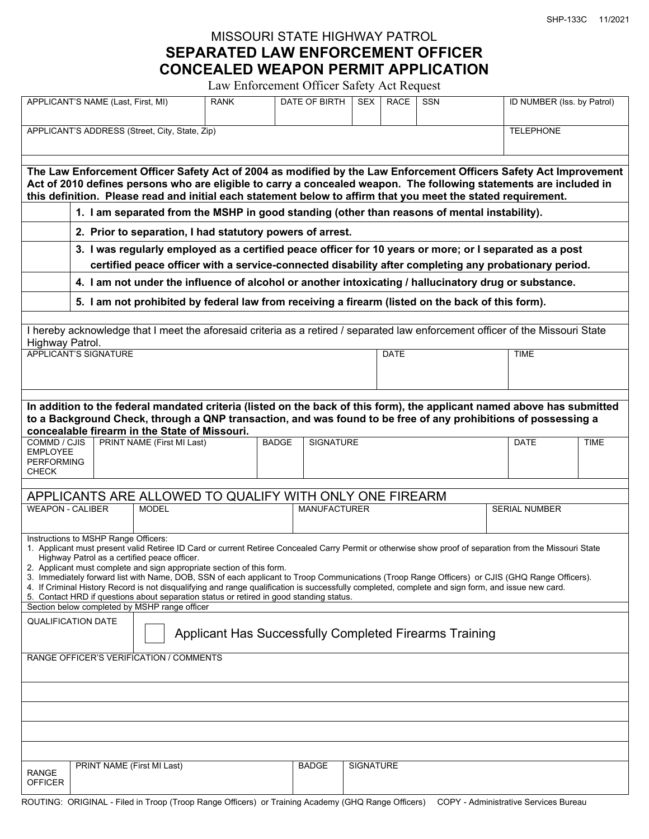SHP-133C 11/2021

## MISSOURI STATE HIGHWAY PATROL **SEPARATED LAW ENFORCEMENT OFFICER CONCEALED WEAPON PERMIT APPLICATION**

Law Enforcement Officer Safety Act Request

| APPLICANT'S NAME (Last, First, MI)                                                                                                                                                                                                                                                                                                                                                                                                                                                                                                                                                                                                                                                                                                                                          | <b>RANK</b>  | DATE OF BIRTH    | <b>SEX</b>       | <b>RACE</b> | <b>SSN</b> | ID NUMBER (Iss. by Patrol) |             |  |
|-----------------------------------------------------------------------------------------------------------------------------------------------------------------------------------------------------------------------------------------------------------------------------------------------------------------------------------------------------------------------------------------------------------------------------------------------------------------------------------------------------------------------------------------------------------------------------------------------------------------------------------------------------------------------------------------------------------------------------------------------------------------------------|--------------|------------------|------------------|-------------|------------|----------------------------|-------------|--|
| APPLICANT'S ADDRESS (Street, City, State, Zip)<br><b>TELEPHONE</b>                                                                                                                                                                                                                                                                                                                                                                                                                                                                                                                                                                                                                                                                                                          |              |                  |                  |             |            |                            |             |  |
| The Law Enforcement Officer Safety Act of 2004 as modified by the Law Enforcement Officers Safety Act Improvement<br>Act of 2010 defines persons who are eligible to carry a concealed weapon. The following statements are included in<br>this definition. Please read and initial each statement below to affirm that you meet the stated requirement.                                                                                                                                                                                                                                                                                                                                                                                                                    |              |                  |                  |             |            |                            |             |  |
| 1. I am separated from the MSHP in good standing (other than reasons of mental instability).                                                                                                                                                                                                                                                                                                                                                                                                                                                                                                                                                                                                                                                                                |              |                  |                  |             |            |                            |             |  |
| 2. Prior to separation, I had statutory powers of arrest.<br>3. I was regularly employed as a certified peace officer for 10 years or more; or I separated as a post<br>certified peace officer with a service-connected disability after completing any probationary period.                                                                                                                                                                                                                                                                                                                                                                                                                                                                                               |              |                  |                  |             |            |                            |             |  |
| 4. I am not under the influence of alcohol or another intoxicating / hallucinatory drug or substance.                                                                                                                                                                                                                                                                                                                                                                                                                                                                                                                                                                                                                                                                       |              |                  |                  |             |            |                            |             |  |
| 5. I am not prohibited by federal law from receiving a firearm (listed on the back of this form).                                                                                                                                                                                                                                                                                                                                                                                                                                                                                                                                                                                                                                                                           |              |                  |                  |             |            |                            |             |  |
| I hereby acknowledge that I meet the aforesaid criteria as a retired / separated law enforcement officer of the Missouri State<br>Highway Patrol.                                                                                                                                                                                                                                                                                                                                                                                                                                                                                                                                                                                                                           |              |                  |                  |             |            |                            |             |  |
| <b>APPLICANT'S SIGNATURE</b>                                                                                                                                                                                                                                                                                                                                                                                                                                                                                                                                                                                                                                                                                                                                                |              |                  | <b>DATE</b>      |             |            | <b>TIME</b>                |             |  |
|                                                                                                                                                                                                                                                                                                                                                                                                                                                                                                                                                                                                                                                                                                                                                                             |              |                  |                  |             |            |                            |             |  |
| In addition to the federal mandated criteria (listed on the back of this form), the applicant named above has submitted<br>to a Background Check, through a QNP transaction, and was found to be free of any prohibitions of possessing a<br>concealable firearm in the State of Missouri.                                                                                                                                                                                                                                                                                                                                                                                                                                                                                  |              |                  |                  |             |            |                            |             |  |
| PRINT NAME (First MI Last)<br>COMMD / CJIS<br><b>EMPLOYEE</b><br><b>PERFORMING</b><br><b>CHECK</b>                                                                                                                                                                                                                                                                                                                                                                                                                                                                                                                                                                                                                                                                          | <b>BADGE</b> | <b>SIGNATURE</b> |                  |             |            | <b>DATE</b>                | <b>TIME</b> |  |
| APPLICANTS ARE ALLOWED TO QUALIFY WITH ONLY ONE FIREARM<br><b>WEAPON - CALIBER</b><br><b>MANUFACTURER</b><br><b>MODEL</b><br><b>SERIAL NUMBER</b>                                                                                                                                                                                                                                                                                                                                                                                                                                                                                                                                                                                                                           |              |                  |                  |             |            |                            |             |  |
| Instructions to MSHP Range Officers:<br>1. Applicant must present valid Retiree ID Card or current Retiree Concealed Carry Permit or otherwise show proof of separation from the Missouri State<br>Highway Patrol as a certified peace officer.<br>2. Applicant must complete and sign appropriate section of this form.<br>3. Immediately forward list with Name, DOB, SSN of each applicant to Troop Communications (Troop Range Officers) or CJIS (GHQ Range Officers).<br>4. If Criminal History Record is not disqualifying and range qualification is successfully completed, complete and sign form, and issue new card.<br>5. Contact HRD if questions about separation status or retired in good standing status.<br>Section below completed by MSHP range officer |              |                  |                  |             |            |                            |             |  |
| <b>QUALIFICATION DATE</b><br>Applicant Has Successfully Completed Firearms Training                                                                                                                                                                                                                                                                                                                                                                                                                                                                                                                                                                                                                                                                                         |              |                  |                  |             |            |                            |             |  |
| RANGE OFFICER'S VERIFICATION / COMMENTS                                                                                                                                                                                                                                                                                                                                                                                                                                                                                                                                                                                                                                                                                                                                     |              |                  |                  |             |            |                            |             |  |
|                                                                                                                                                                                                                                                                                                                                                                                                                                                                                                                                                                                                                                                                                                                                                                             |              |                  |                  |             |            |                            |             |  |
|                                                                                                                                                                                                                                                                                                                                                                                                                                                                                                                                                                                                                                                                                                                                                                             |              |                  |                  |             |            |                            |             |  |
|                                                                                                                                                                                                                                                                                                                                                                                                                                                                                                                                                                                                                                                                                                                                                                             |              |                  |                  |             |            |                            |             |  |
| PRINT NAME (First MI Last)<br><b>RANGE</b><br><b>OFFICER</b><br>$T_{\text{mean}}$<br>$\bigcap_{i=1}^{n}$                                                                                                                                                                                                                                                                                                                                                                                                                                                                                                                                                                                                                                                                    |              | <b>BADGE</b>     | <b>SIGNATURE</b> |             |            |                            |             |  |

ROUTING: ORIGINAL - Filed in Troop (Troop Range Officers) or Training Academy (GHQ Range Officers) COPY - Administrative Services Bureau